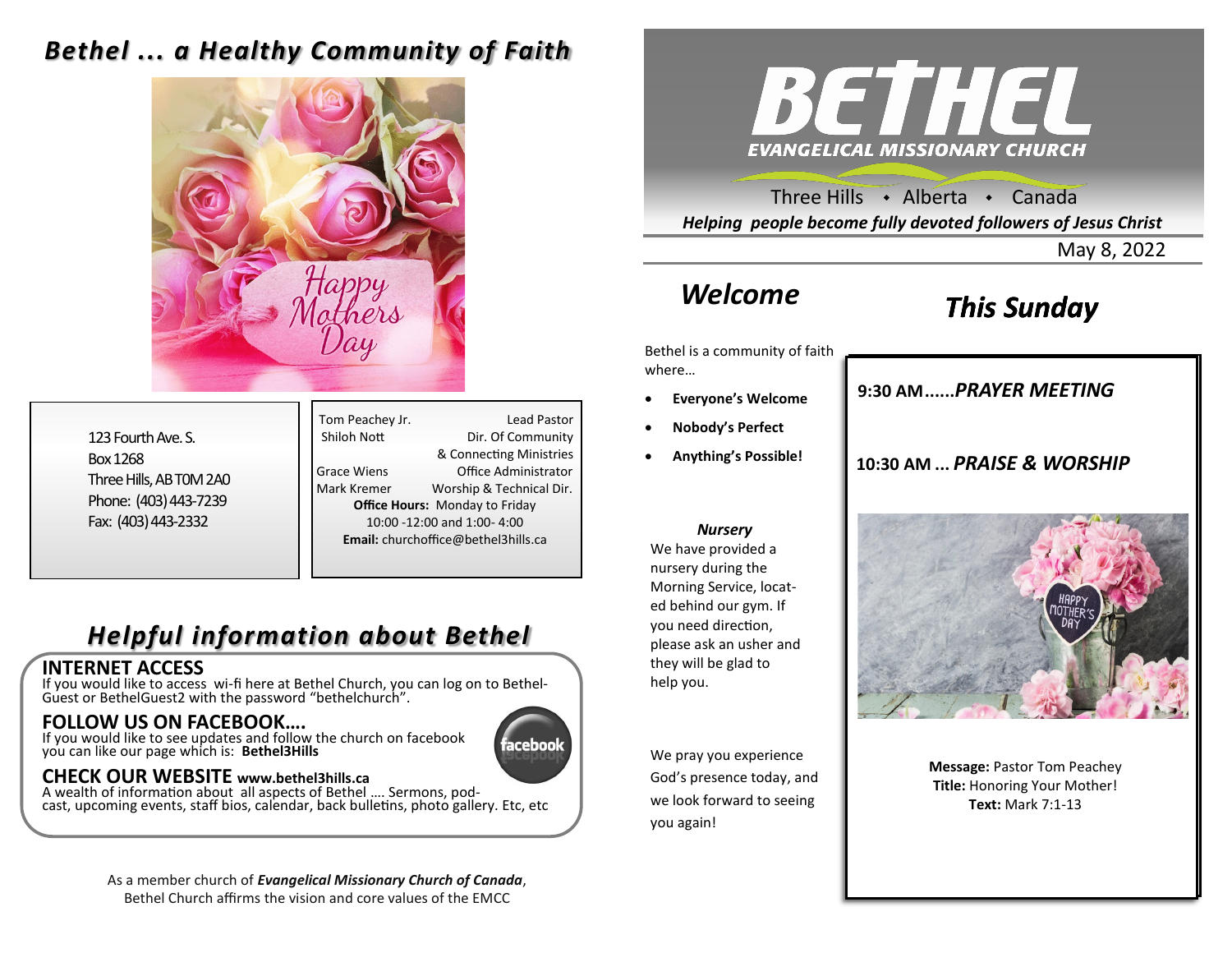### *Bethel ... a Healthy Community of Faith*



123 Fourth Ave. S. Box 1268 Three Hills, AB T0M 2A0 Phone: (403) 443-7239 Fax: (403) 443-2332

Tom Peachey Jr. **Lead Pastor** Shiloh Nott Dir. Of Community & Connecting Ministries Grace Wiens Office Administrator Mark Kremer Worship & Technical Dir. **Office Hours:** Monday to Friday 10:00 -12:00 and 1:00- 4:00 **Email:** churchoffice@bethel3hills.ca

### *Helpful information about Bethel*

#### **INTERNET ACCESS**

If you would like to access wi-fi here at Bethel Church, you can log on to Bethel-Guest or BethelGuest2 with the password "bethelchurch".

#### **FOLLOW US ON FACEBOOK….**

If you would like to see updates and follow the church on facebook you can like our page which is: **Bethel3Hills**

# aceboo

#### **CHECK OUR WEBSITE www.bethel3hills.ca**

A wealth of information about all aspects of Bethel …. Sermons, podcast, upcoming events, staff bios, calendar, back bulletins, photo gallery. Etc, etc

> As a member church of *Evangelical Missionary Church of Canada*, Bethel Church affirms the vision and core values of the EMCC



Three Hills  $\rightarrow$  Alberta  $\rightarrow$  Canada *Helping people become fully devoted followers of Jesus Christ*

May 8, 2022

### *Welcome*

### *This Sunday*

Bethel is a community of faith where…

- **Everyone's Welcome**
- **Nobody's Perfect**
- **Anything's Possible!**

**9:30 AM......***SUNDAY SCHOOL* **9:30 AM......***PRAYER MEETING* 

**10:30 AM ...** *PRAISE & WORSHIP* 

#### *Nursery*

We have provided a nursery during the Morning Service, located behind our gym. If you need direction, please ask an usher and they will be glad to help you.

We pray you experience God's presence today, and we look forward to seeing you again!



**Message:** Pastor Tom Peachey **Title:** Honoring Your Mother! **Text:** Mark 7:1-13